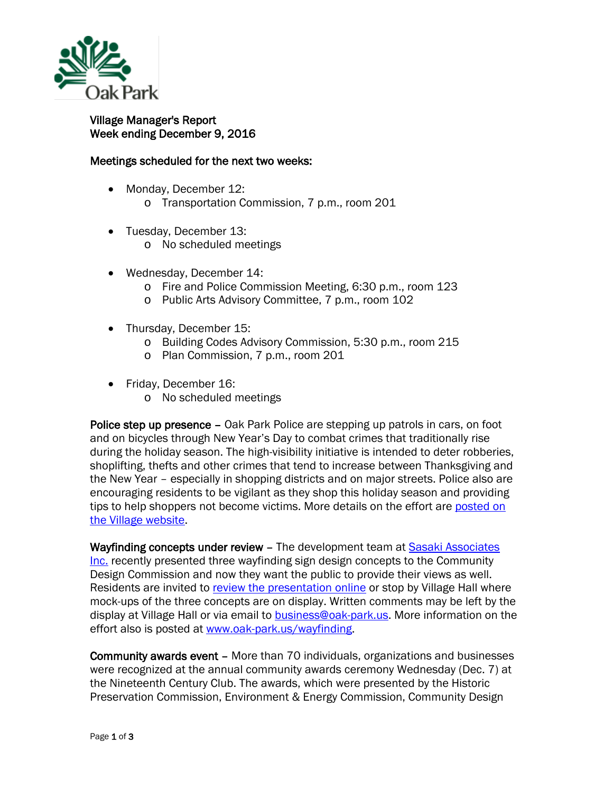

## Village Manager's Report Week ending December 9, 2016

## Meetings scheduled for the next two weeks:

- Monday, December 12:
	- o Transportation Commission, 7 p.m., room 201
- Tuesday, December 13:
	- o No scheduled meetings
- Wednesday, December 14:
	- o Fire and Police Commission Meeting, 6:30 p.m., room 123
	- o Public Arts Advisory Committee, 7 p.m., room 102
- Thursday, December 15:
	- o Building Codes Advisory Commission, 5:30 p.m., room 215
	- o Plan Commission, 7 p.m., room 201
- Friday, December 16:
	- o No scheduled meetings

Police step up presence – Oak Park Police are stepping up patrols in cars, on foot and on bicycles through New Year's Day to combat crimes that traditionally rise during the holiday season. The high-visibility initiative is intended to deter robberies, shoplifting, thefts and other crimes that tend to increase between Thanksgiving and the New Year – especially in shopping districts and on major streets. Police also are encouraging residents to be vigilant as they shop this holiday season and providing tips to help shoppers not become victims. More details on the effort are posted on [the Village website.](http://www.oak-park.us/news/police-out-force-during-holiday-season-0)

Wayfinding concepts under review – The development team at Sasaki Associates [Inc.](http://r20.rs6.net/tn.jsp?t=4xffthzab.0.0.qdcllmmab.0&id=preview&r=3&p=http%3A%2F%2Fwww.sasaki.com%2F) recently presented three wayfinding sign design concepts to the Community Design Commission and now they want the public to provide their views as well. Residents are invited to [review the presentation online](http://r20.rs6.net/tn.jsp?t=4xffthzab.0.0.qdcllmmab.0&id=preview&r=3&p=http%3A%2F%2Fwww.oak-park.us%2Fsites%2Fdefault%2Ffiles%2Fplanning-documents%2F2016-11-30-wayfinding-phase-2b-concepts-presentation.pdf) or stop by Village Hall where mock-ups of the three concepts are on display. Written comments may be left by the display at Village Hall or via email to **business@oak-park.us**. More information on the effort also is posted at [www.oak-park.us/wayfinding.](http://r20.rs6.net/tn.jsp?t=4xffthzab.0.0.qdcllmmab.0&id=preview&r=3&p=http%3A%2F%2Fwww.oak-park.us%2Fwayfinding)

Community awards event – More than 70 individuals, organizations and businesses were recognized at the annual community awards ceremony Wednesday (Dec. 7) at the Nineteenth Century Club. The awards, which were presented by the Historic Preservation Commission, Environment & Energy Commission, Community Design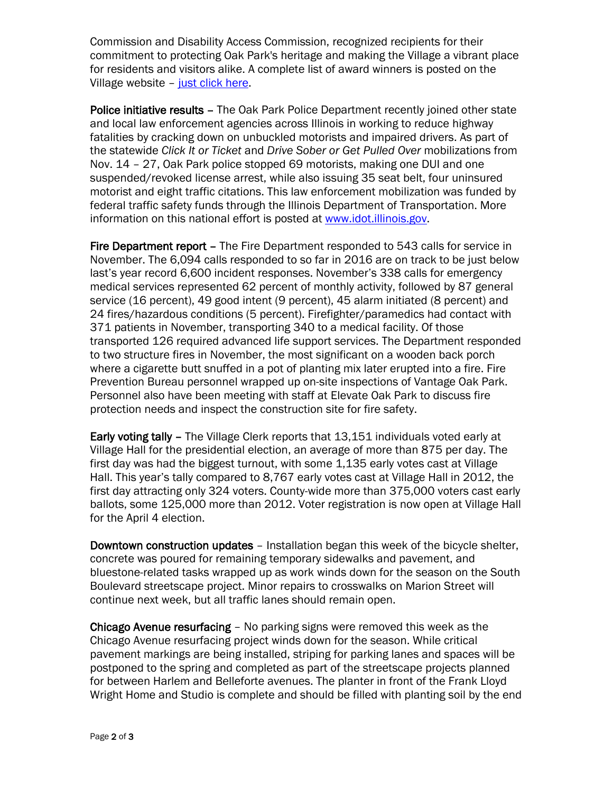Commission and Disability Access Commission, recognized recipients for their commitment to protecting Oak Park's heritage and making the Village a vibrant place for residents and visitors alike. A complete list of award winners is posted on the Village website - [just click](http://www.oak-park.us/news/community-awards-celebrate-stewardship) here.

Police initiative results - The Oak Park Police Department recently joined other state and local law enforcement agencies across Illinois in working to reduce highway fatalities by cracking down on unbuckled motorists and impaired drivers. As part of the statewide *Click It or Ticket* and *Drive Sober or Get Pulled Over* mobilizations from Nov. 14 – 27, Oak Park police stopped 69 motorists, making one DUI and one suspended/revoked license arrest, while also issuing 35 seat belt, four uninsured motorist and eight traffic citations. This law enforcement mobilization was funded by federal traffic safety funds through the Illinois Department of Transportation. More information on this national effort is posted at [www.idot.illinois.gov.](http://www.idot.illinois.gov/)

Fire Department report – The Fire Department responded to 543 calls for service in November. The 6,094 calls responded to so far in 2016 are on track to be just below last's year record 6,600 incident responses. November's 338 calls for emergency medical services represented 62 percent of monthly activity, followed by 87 general service (16 percent), 49 good intent (9 percent), 45 alarm initiated (8 percent) and 24 fires/hazardous conditions (5 percent). Firefighter/paramedics had contact with 371 patients in November, transporting 340 to a medical facility. Of those transported 126 required advanced life support services. The Department responded to two structure fires in November, the most significant on a wooden back porch where a cigarette butt snuffed in a pot of planting mix later erupted into a fire. Fire Prevention Bureau personnel wrapped up on-site inspections of Vantage Oak Park. Personnel also have been meeting with staff at Elevate Oak Park to discuss fire protection needs and inspect the construction site for fire safety.

Early voting tally – The Village Clerk reports that 13,151 individuals voted early at Village Hall for the presidential election, an average of more than 875 per day. The first day was had the biggest turnout, with some 1,135 early votes cast at Village Hall. This year's tally compared to 8,767 early votes cast at Village Hall in 2012, the first day attracting only 324 voters. County-wide more than 375,000 voters cast early ballots, some 125,000 more than 2012. Voter registration is now open at Village Hall for the April 4 election.

Downtown construction updates – Installation began this week of the bicycle shelter, concrete was poured for remaining temporary sidewalks and pavement, and bluestone-related tasks wrapped up as work winds down for the season on the South Boulevard streetscape project. Minor repairs to crosswalks on Marion Street will continue next week, but all traffic lanes should remain open.

Chicago Avenue resurfacing – No parking signs were removed this week as the Chicago Avenue resurfacing project winds down for the season. While critical pavement markings are being installed, striping for parking lanes and spaces will be postponed to the spring and completed as part of the streetscape projects planned for between Harlem and Belleforte avenues. The planter in front of the Frank Lloyd Wright Home and Studio is complete and should be filled with planting soil by the end